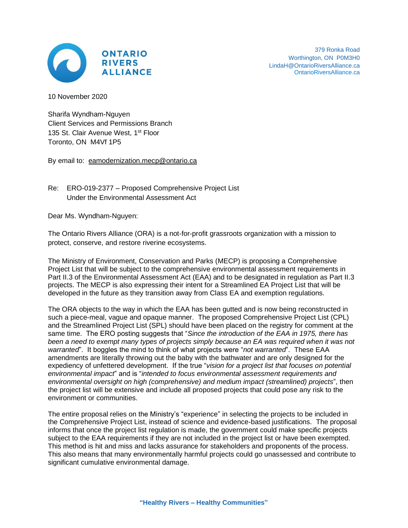

10 November 2020

Sharifa Wyndham-Nguyen Client Services and Permissions Branch 135 St. Clair Avenue West, 1<sup>st</sup> Floor Toronto, ON M4Vf 1P5

By email to: [eamodernization.mecp@ontario.ca](mailto:eamodernization.mecp@ontario.ca)

Re: ERO-019-2377 – Proposed Comprehensive Project List Under the Environmental Assessment Act

Dear Ms. Wyndham-Nguyen:

The Ontario Rivers Alliance (ORA) is a not-for-profit grassroots organization with a mission to protect, conserve, and restore riverine ecosystems.

The Ministry of Environment, Conservation and Parks (MECP) is proposing a Comprehensive Project List that will be subject to the comprehensive environmental assessment requirements in Part II.3 of the Environmental Assessment Act (EAA) and to be designated in regulation as Part II.3 projects. The MECP is also expressing their intent for a Streamlined EA Project List that will be developed in the future as they transition away from Class EA and exemption regulations.

The ORA objects to the way in which the EAA has been gutted and is now being reconstructed in such a piece-meal, vague and opaque manner. The proposed Comprehensive Project List (CPL) and the Streamlined Project List (SPL) should have been placed on the registry for comment at the same time. The ERO posting suggests that "*Since the introduction of the EAA in 1975, there has been a need to exempt many types of projects simply because an EA was required when it was not warranted*". It boggles the mind to think of what projects were "*not warranted*". These EAA amendments are literally throwing out the baby with the bathwater and are only designed for the expediency of unfettered development. If the true "*vision for a project list that focuses on potential environmental impact*" and is "*intended to focus environmental assessment requirements and environmental oversight on high (comprehensive) and medium impact (streamlined) projects*", then the project list will be extensive and include all proposed projects that could pose any risk to the environment or communities.

The entire proposal relies on the Ministry's "experience" in selecting the projects to be included in the Comprehensive Project List, instead of science and evidence-based justifications. The proposal informs that once the project list regulation is made, the government could make specific projects subject to the EAA requirements if they are not included in the project list or have been exempted. This method is hit and miss and lacks assurance for stakeholders and proponents of the process. This also means that many environmentally harmful projects could go unassessed and contribute to significant cumulative environmental damage.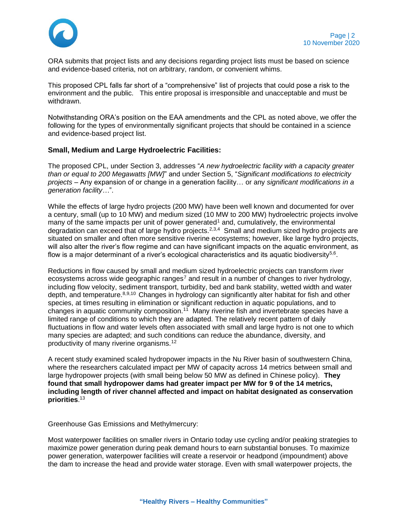

ORA submits that project lists and any decisions regarding project lists must be based on science and evidence-based criteria, not on arbitrary, random, or convenient whims.

This proposed CPL falls far short of a "comprehensive" list of projects that could pose a risk to the environment and the public. This entire proposal is irresponsible and unacceptable and must be withdrawn.

Notwithstanding ORA's position on the EAA amendments and the CPL as noted above, we offer the following for the types of environmentally significant projects that should be contained in a science and evidence-based project list.

## **Small, Medium and Large Hydroelectric Facilities:**

The proposed CPL, under Section 3, addresses "*A new hydroelectric facility with a capacity greater than or equal to 200 Megawatts [MW]*" and under Section 5, "*Significant modifications to electricity projects* – Any expansion of or change in a generation facility… or any *significant modifications in a generation facility…*".

While the effects of large hydro projects (200 MW) have been well known and documented for over a century, small (up to 10 MW) and medium sized (10 MW to 200 MW) hydroelectric projects involve many of the same impacts per unit of power generated<sup>1</sup> and, cumulatively, the environmental degradation can exceed that of large hydro projects.<sup>2,3,4</sup> Small and medium sized hydro projects are situated on smaller and often more sensitive riverine ecosystems; however, like large hydro projects, will also alter the river's flow regime and can have significant impacts on the aquatic environment, as flow is a major determinant of a river's ecological characteristics and its aquatic biodiversity<sup>5,6</sup>.

Reductions in flow caused by small and medium sized hydroelectric projects can transform river ecosystems across wide geographic ranges<sup>7</sup> and result in a number of changes to river hydrology, including flow velocity, sediment transport, turbidity, bed and bank stability, wetted width and water depth, and temperature. 8,9,10 Changes in hydrology can significantly alter habitat for fish and other species, at times resulting in elimination or significant reduction in aquatic populations, and to changes in aquatic community composition.<sup>11</sup> Many riverine fish and invertebrate species have a limited range of conditions to which they are adapted. The relatively recent pattern of daily fluctuations in flow and water levels often associated with small and large hydro is not one to which many species are adapted; and such conditions can reduce the abundance, diversity, and productivity of many riverine organisms.<sup>12</sup>

A recent study examined scaled hydropower impacts in the Nu River basin of southwestern China, where the researchers calculated impact per MW of capacity across 14 metrics between small and large hydropower projects (with small being below 50 MW as defined in Chinese policy). **They found that small hydropower dams had greater impact per MW for 9 of the 14 metrics, including length of river channel affected and impact on habitat designated as conservation priorities**. 13

Greenhouse Gas Emissions and Methylmercury:

Most waterpower facilities on smaller rivers in Ontario today use cycling and/or peaking strategies to maximize power generation during peak demand hours to earn substantial bonuses. To maximize power generation, waterpower facilities will create a reservoir or headpond (impoundment) above the dam to increase the head and provide water storage. Even with small waterpower projects, the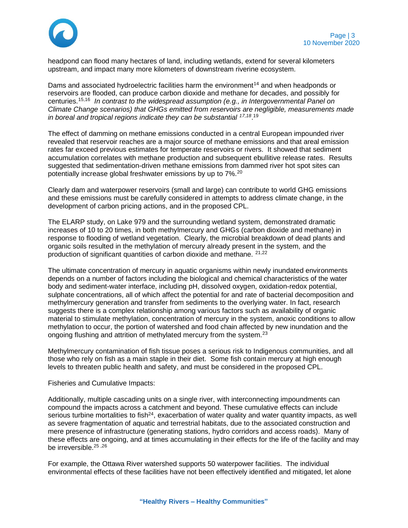

headpond can flood many hectares of land, including wetlands, extend for several kilometers upstream, and impact many more kilometers of downstream riverine ecosystem.

Dams and associated hydroelectric facilities harm the environment<sup>14</sup> and when headponds or reservoirs are flooded, can produce carbon dioxide and methane for decades, and possibly for centuries.15,16 *In contrast to the widespread assumption (e.g., in Intergovernmental Panel on Climate Change scenarios) that GHGs emitted from reservoirs are negligible, measurements made*  in boreal and tropical regions indicate they can be substantial <sup>17,18</sup>.<sup>19</sup>

The effect of damming on methane emissions conducted in a central European impounded river revealed that reservoir reaches are a major source of methane emissions and that areal emission rates far exceed previous estimates for temperate reservoirs or rivers. It showed that sediment accumulation correlates with methane production and subsequent ebullitive release rates. Results suggested that sedimentation-driven methane emissions from dammed river hot spot sites can potentially increase global freshwater emissions by up to 7%.<sup>20</sup>

Clearly dam and waterpower reservoirs (small and large) can contribute to world GHG emissions and these emissions must be carefully considered in attempts to address climate change, in the development of carbon pricing actions, and in the proposed CPL.

The ELARP study, on Lake 979 and the surrounding wetland system, demonstrated dramatic increases of 10 to 20 times, in both methylmercury and GHGs (carbon dioxide and methane) in response to flooding of wetland vegetation. Clearly, the microbial breakdown of dead plants and organic soils resulted in the methylation of mercury already present in the system, and the production of significant quantities of carbon dioxide and methane. 21,22

The ultimate concentration of mercury in aquatic organisms within newly inundated environments depends on a number of factors including the biological and chemical characteristics of the water body and sediment-water interface, including pH, dissolved oxygen, oxidation-redox potential, sulphate concentrations, all of which affect the potential for and rate of bacterial decomposition and methylmercury generation and transfer from sediments to the overlying water. In fact, research suggests there is a complex relationship among various factors such as availability of organic material to stimulate methylation, concentration of mercury in the system, anoxic conditions to allow methylation to occur, the portion of watershed and food chain affected by new inundation and the ongoing flushing and attrition of methylated mercury from the system.<sup>23</sup>

Methylmercury contamination of fish tissue poses a serious risk to Indigenous communities, and all those who rely on fish as a main staple in their diet. Some fish contain mercury at high enough levels to threaten public health and safety, and must be considered in the proposed CPL.

Fisheries and Cumulative Impacts:

Additionally, multiple cascading units on a single river, with interconnecting impoundments can compound the impacts across a catchment and beyond. These cumulative effects can include serious turbine mortalities to fish<sup>24</sup>, exacerbation of water quality and water quantity impacts, as well as severe fragmentation of aquatic and terrestrial habitats, due to the associated construction and mere presence of infrastructure (generating stations, hydro corridors and access roads). Many of these effects are ongoing, and at times accumulating in their effects for the life of the facility and may be irreversible.<sup>25,26</sup>

For example, the Ottawa River watershed supports 50 waterpower facilities. The individual environmental effects of these facilities have not been effectively identified and mitigated, let alone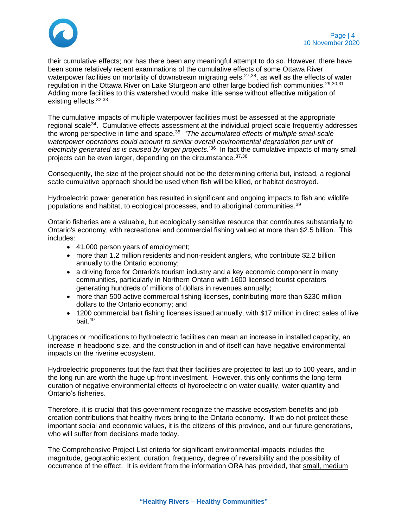

their cumulative effects; nor has there been any meaningful attempt to do so. However, there have been some relatively recent examinations of the cumulative effects of some Ottawa River waterpower facilities on mortality of downstream migrating eels.<sup>27,28</sup>, as well as the effects of water regulation in the Ottawa River on Lake Sturgeon and other large bodied fish communities.<sup>29,30,31</sup> Adding more facilities to this watershed would make little sense without effective mitigation of existing effects.<sup>32,33</sup>

The cumulative impacts of multiple waterpower facilities must be assessed at the appropriate regional scale<sup>34</sup>. Cumulative effects assessment at the individual project scale frequently addresses the wrong perspective in time and space.<sup>35</sup> "The accumulated effects of multiple small-scale *waterpower operations could amount to similar overall environmental degradation per unit of electricity generated as is caused by larger projects.*"36 In fact the cumulative impacts of many small projects can be even larger, depending on the circumstance.37,38

Consequently, the size of the project should not be the determining criteria but, instead, a regional scale cumulative approach should be used when fish will be killed, or habitat destroyed.

Hydroelectric power generation has resulted in significant and ongoing impacts to fish and wildlife populations and habitat, to ecological processes, and to aboriginal communities.<sup>39</sup>

Ontario fisheries are a valuable, but ecologically sensitive resource that contributes substantially to Ontario's economy, with recreational and commercial fishing valued at more than \$2.5 billion. This includes:

- 41,000 person years of employment;
- more than 1.2 million residents and non-resident anglers, who contribute \$2.2 billion annually to the Ontario economy;
- a driving force for Ontario's tourism industry and a key economic component in many communities, particularly in Northern Ontario with 1600 licensed tourist operators generating hundreds of millions of dollars in revenues annually;
- more than 500 active commercial fishing licenses, contributing more than \$230 million dollars to the Ontario economy; and
- 1200 commercial bait fishing licenses issued annually, with \$17 million in direct sales of live bait.<sup>40</sup>

Upgrades or modifications to hydroelectric facilities can mean an increase in installed capacity, an increase in headpond size, and the construction in and of itself can have negative environmental impacts on the riverine ecosystem.

Hydroelectric proponents tout the fact that their facilities are projected to last up to 100 years, and in the long run are worth the huge up-front investment. However, this only confirms the long-term duration of negative environmental effects of hydroelectric on water quality, water quantity and Ontario's fisheries.

Therefore, it is crucial that this government recognize the massive ecosystem benefits and job creation contributions that healthy rivers bring to the Ontario economy. If we do not protect these important social and economic values, it is the citizens of this province, and our future generations, who will suffer from decisions made today.

The Comprehensive Project List criteria for significant environmental impacts includes the magnitude, geographic extent, duration, frequency, degree of reversibility and the possibility of occurrence of the effect. It is evident from the information ORA has provided, that small, medium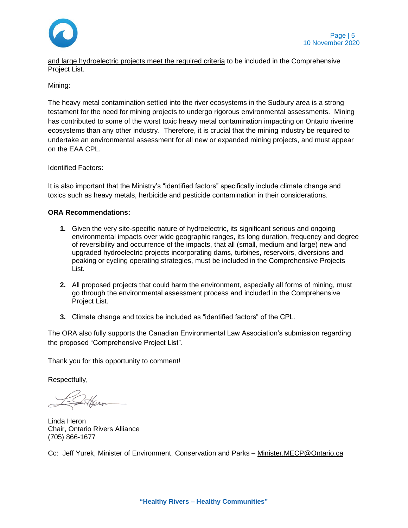

and large hydroelectric projects meet the required criteria to be included in the Comprehensive Project List.

Mining:

The heavy metal contamination settled into the river ecosystems in the Sudbury area is a strong testament for the need for mining projects to undergo rigorous environmental assessments. Mining has contributed to some of the worst toxic heavy metal contamination impacting on Ontario riverine ecosystems than any other industry. Therefore, it is crucial that the mining industry be required to undertake an environmental assessment for all new or expanded mining projects, and must appear on the EAA CPL.

Identified Factors:

It is also important that the Ministry's "identified factors" specifically include climate change and toxics such as heavy metals, herbicide and pesticide contamination in their considerations.

## **ORA Recommendations:**

- **1.** Given the very site-specific nature of hydroelectric, its significant serious and ongoing environmental impacts over wide geographic ranges, its long duration, frequency and degree of reversibility and occurrence of the impacts, that all (small, medium and large) new and upgraded hydroelectric projects incorporating dams, turbines, reservoirs, diversions and peaking or cycling operating strategies, must be included in the Comprehensive Projects List.
- **2.** All proposed projects that could harm the environment, especially all forms of mining, must go through the environmental assessment process and included in the Comprehensive Project List.
- **3.** Climate change and toxics be included as "identified factors" of the CPL.

The ORA also fully supports the Canadian Environmental Law Association's submission regarding the proposed "Comprehensive Project List".

Thank you for this opportunity to comment!

Respectfully,

Linda Heron Chair, Ontario Rivers Alliance (705) 866-1677

Cc: Jeff Yurek, Minister of Environment, Conservation and Parks – [Minister.MECP@Ontario.ca](mailto:Minister.MECP@Ontario.ca)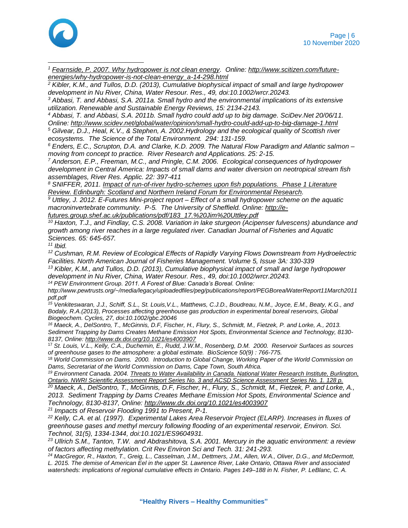

*<sup>1</sup> [Fearnside, P. 2007. Why hydropower is not clean energy.](http://www.scitizen.com/future-energies/why-hydropower-is-not-clean-energy_a-14-298.html) Online: [http://www.scitizen.com/future](http://www.scitizen.com/future-energies/why-hydropower-is-not-clean-energy_a-14-298.html)[energies/why-hydropower-is-not-clean-energy\\_a-14-298.html](http://www.scitizen.com/future-energies/why-hydropower-is-not-clean-energy_a-14-298.html)*

*<sup>2</sup> Kibler, K.M., and Tullos, D.D. (2013), Cumulative biophysical impact of small and large hydropower development in Nu River, China, Water Resour. Res., 49, doi:10.1002/wrcr.20243.*

*<sup>3</sup> Abbasi, T. and Abbasi, S.A. 2011a. Small hydro and the environmental implications of its extensive utilization. Renewable and Sustainable Energy Reviews, 15: 2134-2143.*

*<sup>4</sup> Abbasi, T. and Abbasi, S.A. 2011b. Small hydro could add up to big damage. SciDev.Net 20/06/11. Online:<http://www.scidev.net/global/water/opinion/small-hydro-could-add-up-to-big-damage-1.html>*

*<sup>5</sup> Gilvear, D.J., Heal, K.V., & Stephen, A. 2002.Hydrology and the ecological quality of Scottish river ecosystems. The Science of the Total Environment. 294: 131-159.*

*<sup>6</sup> Enders, E.C., Scrupton, D.A. and Clarke, K.D. 2009. The Natural Flow Paradigm and Atlantic salmon – moving from concept to practice. River Research and Applications. 25: 2-15.*

*<sup>7</sup> Anderson, E.P., Freeman, M.C., and Pringle, C.M. 2006. Ecological consequences of hydropower development in Central America: Impacts of small dams and water diversion on neotropical stream fish assemblages, River Res. Applic. 22: 397-411*

*<sup>8</sup> SNIFFER, 2011. [Impact of run-of-river hydro-schemes upon fish populations. Phase 1 Literature](http://www.sniffer.org.uk/Webcontrol/Secure/ClientSpecific/ResourceManagement/UploadedFiles/WFD114_Lit%20review_FINAL_AUG2011.pdf)  [Review. Edinburgh: Scotland and Northern Ireland Forum for Environmental Research.](http://www.sniffer.org.uk/Webcontrol/Secure/ClientSpecific/ResourceManagement/UploadedFiles/WFD114_Lit%20review_FINAL_AUG2011.pdf)* 

*<sup>9</sup> Uttley, J. 2012. E-Futures Mini-project report – Effect of a small hydropower scheme on the aquatic macroninvertebrate community. P-5. The University of Sheffield. Online: [http://e](http://e-futures.group.shef.ac.uk/publications/pdf/183_17.%20Jim%20Uttley.pdf)[futures.group.shef.ac.uk/publications/pdf/183\\_17.%20Jim%20Uttley.pdf](http://e-futures.group.shef.ac.uk/publications/pdf/183_17.%20Jim%20Uttley.pdf)*

*<sup>10</sup> Haxton, T.J., and Findlay, C.S. 2008. Variation in lake sturgeon (Acipenser fulvescens) abundance and growth among river reaches in a large regulated river. Canadian Journal of Fisheries and Aquatic Sciences. 65: 645-657.*

*<sup>11</sup> Ibid.*

*<sup>12</sup> Cushman, R.M. Review of Ecological Effects of Rapidly Varying Flows Downstream from Hydroelectric Facilities. North American Journal of Fisheries Management. Volume 5, Issue 3A: 330-339*

*<sup>13</sup> Kibler, K.M., and Tullos, D.D. (2013), Cumulative biophysical impact of small and large hydropower development in Nu River, China, Water Resour. Res., 49, doi:10.1002/wrcr.20243.*

*<sup>14</sup> PEW Environment Group. 2011. A Forest of Blue: Canada's Boreal. Online:* 

*http://www.pewtrusts.org/~/media/legacy/uploadedfiles/peg/publications/report/PEGBorealWaterReport11March2011 pdf.pdf*

*<sup>15</sup> Venkiteswaran, J.J., Schiff, S.L., St. Louis,V.L., Matthews, C.J.D., Boudreau, N.M., Joyce, E.M., Beaty, K.G., and Bodaly, R.A.(2013), Processes affecting greenhouse gas production in experimental boreal reservoirs, Global Biogeochem. Cycles, 27, doi:10.1002/gbc.20046*

*<sup>16</sup> Maeck, A., DelSontro, T., McGinnis, D.F, Fischer, H., Flury, S., Schmidt, M., Fietzek, P. and Lorke, A., 2013. Sediment Trapping by Dams Creates Methane Emission Hot Spots, Environmental Science and Technology, 8130- 8137, Online:<http://www.dx.doi.org/10.1021/es4003907>*

<sup>17</sup> *St. Louis, V.L., Kelly, C.A., Duchemin, E., Rudd, J.W.M., Rosenberg, D.M. 2000. Reservoir Surfaces as sources of greenhouse gases to the atmosphere: a global estimate. BioScience 50(9) : 766-775.*

<sup>18</sup> *World Commission on Dams. 2000. Introduction to Global Change, Working Paper of the World Commission on Dams, Secretariat of the World Commission on Dams, Cape Town, South Africa.*

*<sup>19</sup> Environment Canada. 2004. [Threats to Water Availability in Canada. National Water Research Institute, Burlington,](https://www.ec.gc.ca/inre-nwri/default.asp?lang=En&n=0CD66675-1&printfullpage=true)  [Ontario. NWRI Scientific Assessment Report Series No. 3 and ACSD Science Assessment Series No. 1. 128 p.](https://www.ec.gc.ca/inre-nwri/default.asp?lang=En&n=0CD66675-1&printfullpage=true)*

*<sup>20</sup> Maeck, A., DelSontro, T., McGinnis, D.F, Fischer, H., Flury, S., Schmidt, M., Fietzek, P. and Lorke, A., 2013. Sediment Trapping by Dams Creates Methane Emission Hot Spots, Environmental Science and Technology, 8130-8137, Online:<http://www.dx.doi.org/10.1021/es4003907>*

*<sup>21</sup> Impacts of Reservoir Flooding 1991 to Present, P-1.*

*<sup>22</sup> Kelly, C.A. et al. (1997). Experimental Lakes Area Reservoir Project (ELARP). Increases in fluxes of greenhouse gases and methyl mercury following flooding of an experimental reservoir, Environ. Sci. Technol, 31(5), 1334-1344, doi:10.1021/ES9604931.*

*<sup>23</sup> Ullrich S.M., Tanton, T.W. and Abdrashitova, S.A. 2001. Mercury in the aquatic environment: a review of factors affecting methylation. Crit Rev Environ Sci and Tech. 31: 241-293.*

*<sup>24</sup> MacGregor, R., Haxton, T., Greig, L., Casselman, J.M., Dettmers, J.M., Allen, W.A., Oliver, D.G., and McDermott, L. 2015. The demise of American Eel in the upper St. Lawrence River, Lake Ontario, Ottawa River and associated watersheds: implications of regional cumulative effects in Ontario. Pages 149–188 in N. Fisher, P. LeBlanc, C. A.*